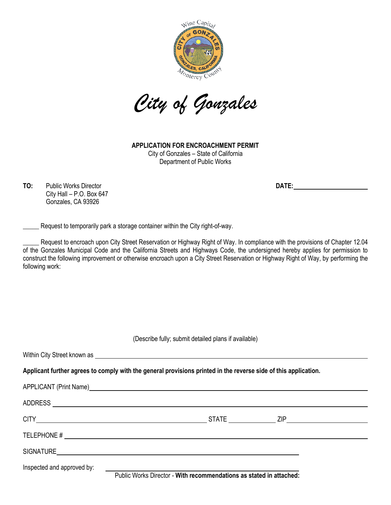

*City of Gonzales*

**APPLICATION FOR ENCROACHMENT PERMIT** City of Gonzales – State of California Department of Public Works

**TO:** Public Works Director **DATE:** City Hall – P.O. Box 647 Gonzales, CA 93926

Request to temporarily park a storage container within the City right-of-way.

Request to encroach upon City Street Reservation or Highway Right of Way. In compliance with the provisions of Chapter 12.04 of the Gonzales Municipal Code and the California Streets and Highways Code, the undersigned hereby applies for permission to construct the following improvement or otherwise encroach upon a City Street Reservation or Highway Right of Way, by performing the following work:

(Describe fully; submit detailed plans if available)

Within City Street known as **Applicant further agrees to comply with the general provisions printed in the reverse side of this application.** APPLICANT (Print Name) Manual Application of the APPLICANT (Print Name) ADDRESS CITY STATE ZIP TELEPHONE # SIGNATURE Inspected and approved by: Public Works Director - **With recommendations as stated in attached:**